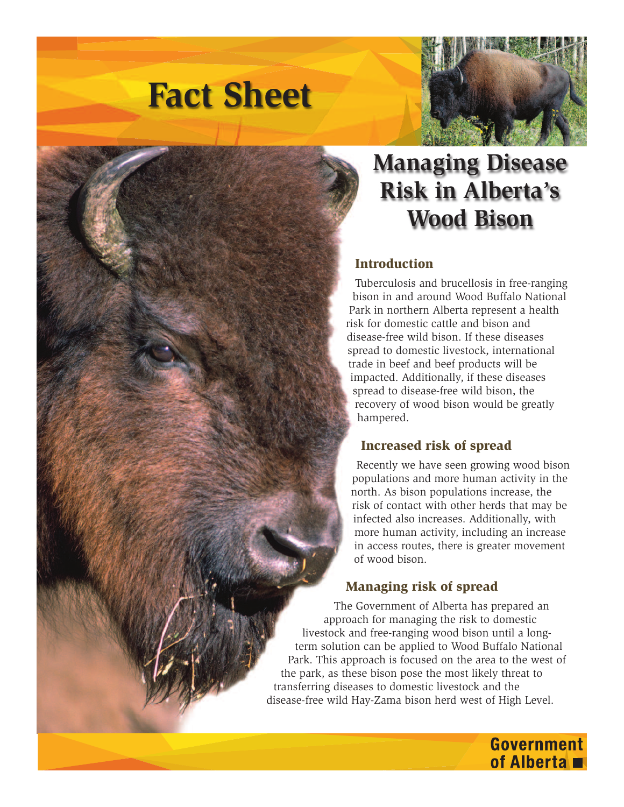



## **Managing Disease Risk in Alberta's Wood Bison**

## **Introduction**

Tuberculosis and brucellosis in free-ranging bison in and around Wood Buffalo National Park in northern Alberta represent a health risk for domestic cattle and bison and disease-free wild bison. If these diseases spread to domestic livestock, international trade in beef and beef products will be impacted. Additionally, if these diseases spread to disease-free wild bison, the recovery of wood bison would be greatly hampered.

## **Increased risk of spread**

Recently we have seen growing wood bison populations and more human activity in the north. As bison populations increase, the risk of contact with other herds that may be infected also increases. Additionally, with more human activity, including an increase in access routes, there is greater movement of wood bison.

> **Government** of Alberta

## **Managing risk of spread**

The Government of Alberta has prepared an approach for managing the risk to domestic livestock and free-ranging wood bison until a longterm solution can be applied to Wood Buffalo National Park. This approach is focused on the area to the west of the park, as these bison pose the most likely threat to transferring diseases to domestic livestock and the disease-free wild Hay-Zama bison herd west of High Level.